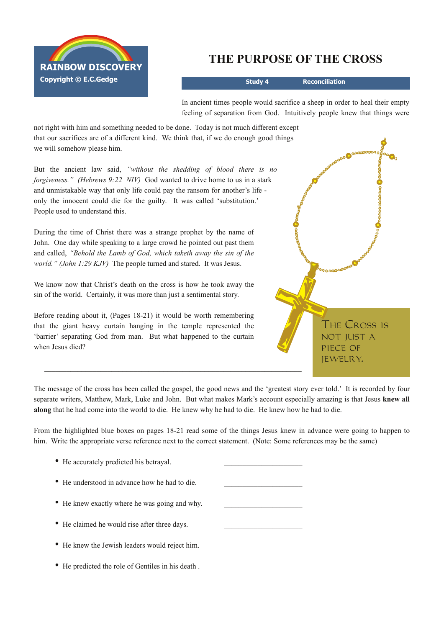

## **THE PURPOSE OF THE CROSS**

**Study 4 Reconciliation**

In ancient times people would sacrifice a sheep in order to heal their empty feeling of separation from God. Intuitively people knew that things were

not right with him and something needed to be done. Today is not much different except that our sacrifices are of a different kind. We think that, if we do enough good things we will somehow please him.

But the ancient law said, *"without the shedding of blood there is no forgiveness." (Hebrews 9:22 NIV)* God wanted to drive home to us in a stark and unmistakable way that only life could pay the ransom for another's life only the innocent could die for the guilty. It was called 'substitution.' People used to understand this.

During the time of Christ there was a strange prophet by the name of John. One day while speaking to a large crowd he pointed out past them and called, *"Behold the Lamb of God, which taketh away the sin of the world." (John 1:29 KJV)* The people turned and stared. It was Jesus.

We know now that Christ's death on the cross is how he took away the sin of the world. Certainly, it was more than just a sentimental story.

Before reading about it, (Pages 18-21) it would be worth remembering that the giant heavy curtain hanging in the temple represented the 'barrier' separating God from man. But what happened to the curtain when Jesus died?

• He accurately predicted his betraval.

**മാക്കാക്കാര <mark>0</mark>000** The Cross is NOT IUST A piece of jewelry. $\mathcal{L}_\text{max} = \mathcal{L}_\text{max} = \mathcal{L}_\text{max} = \mathcal{L}_\text{max} = \mathcal{L}_\text{max} = \mathcal{L}_\text{max} = \mathcal{L}_\text{max} = \mathcal{L}_\text{max} = \mathcal{L}_\text{max} = \mathcal{L}_\text{max} = \mathcal{L}_\text{max} = \mathcal{L}_\text{max} = \mathcal{L}_\text{max} = \mathcal{L}_\text{max} = \mathcal{L}_\text{max} = \mathcal{L}_\text{max} = \mathcal{L}_\text{max} = \mathcal{L}_\text{max} = \mathcal{$ 

The message of the cross has been called the gospel, the good news and the 'greatest story ever told.' It is recorded by four separate writers, Matthew, Mark, Luke and John. But what makes Mark's account especially amazing is that Jesus **knew all along** that he had come into the world to die. He knew why he had to die. He knew how he had to die.

From the highlighted blue boxes on pages 1821 read some of the things Jesus knew in advance were going to happen to him. Write the appropriate verse reference next to the correct statement. (Note: Some references may be the same)

| • He understood in advance how he had to die.     |  |
|---------------------------------------------------|--|
| • He knew exactly where he was going and why.     |  |
| • He claimed he would rise after three days.      |  |
| • He knew the Jewish leaders would reject him.    |  |
| • He predicted the role of Gentiles in his death. |  |